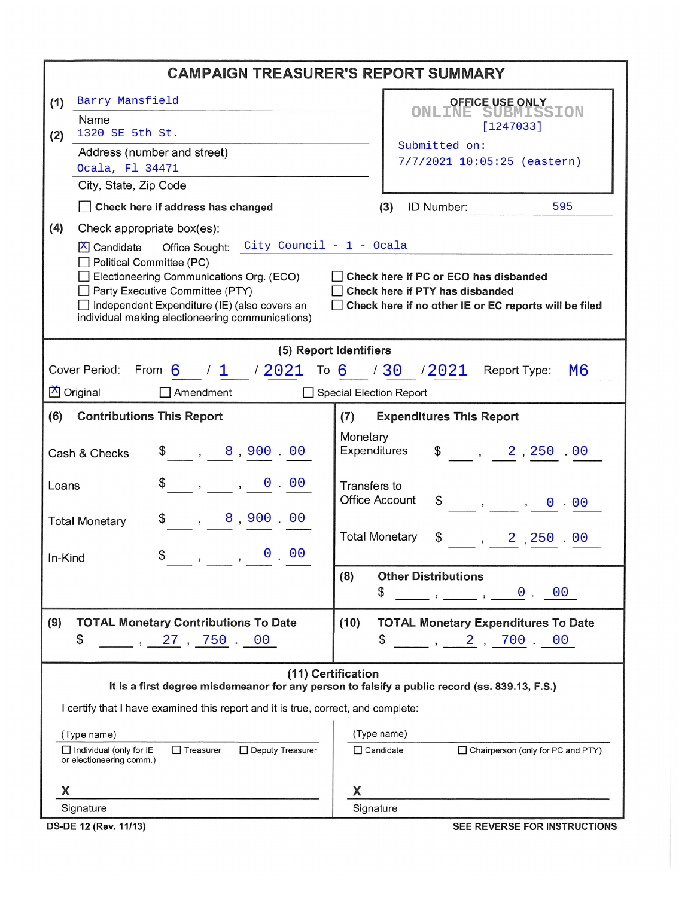| <b>CAMPAIGN TREASURER'S REPORT SUMMARY</b>                                                                                                                                                                                                                                                                                                                                                                   |                                                                                                                                                                                                                                                                                                                                                                                                                                                                           |  |  |  |  |  |  |
|--------------------------------------------------------------------------------------------------------------------------------------------------------------------------------------------------------------------------------------------------------------------------------------------------------------------------------------------------------------------------------------------------------------|---------------------------------------------------------------------------------------------------------------------------------------------------------------------------------------------------------------------------------------------------------------------------------------------------------------------------------------------------------------------------------------------------------------------------------------------------------------------------|--|--|--|--|--|--|
| Barry Mansfield<br>(1)                                                                                                                                                                                                                                                                                                                                                                                       | <b>OFFICE USE ONLY</b>                                                                                                                                                                                                                                                                                                                                                                                                                                                    |  |  |  |  |  |  |
| Name                                                                                                                                                                                                                                                                                                                                                                                                         | <b>ONLINE SUBMISSION</b><br>[1247033]                                                                                                                                                                                                                                                                                                                                                                                                                                     |  |  |  |  |  |  |
| 1320 SE 5th St.<br>(2)<br>Address (number and street)                                                                                                                                                                                                                                                                                                                                                        | Submitted on:                                                                                                                                                                                                                                                                                                                                                                                                                                                             |  |  |  |  |  |  |
| Ocala, Fl 34471                                                                                                                                                                                                                                                                                                                                                                                              | 7/7/2021 10:05:25 (eastern)                                                                                                                                                                                                                                                                                                                                                                                                                                               |  |  |  |  |  |  |
| City, State, Zip Code                                                                                                                                                                                                                                                                                                                                                                                        |                                                                                                                                                                                                                                                                                                                                                                                                                                                                           |  |  |  |  |  |  |
| Check here if address has changed                                                                                                                                                                                                                                                                                                                                                                            | ID Number:<br>595<br>(3)                                                                                                                                                                                                                                                                                                                                                                                                                                                  |  |  |  |  |  |  |
| (4)<br>Check appropriate box(es):                                                                                                                                                                                                                                                                                                                                                                            |                                                                                                                                                                                                                                                                                                                                                                                                                                                                           |  |  |  |  |  |  |
| Office Sought: City Council - 1 - Ocala<br>$X$ Candidate<br>Political Committee (PC)<br>Electioneering Communications Org. (ECO)<br>Check here if PC or ECO has disbanded<br>Party Executive Committee (PTY)<br>Check here if PTY has disbanded<br>Independent Expenditure (IE) (also covers an<br>Check here if no other IE or EC reports will be filed<br>individual making electioneering communications) |                                                                                                                                                                                                                                                                                                                                                                                                                                                                           |  |  |  |  |  |  |
| (5) Report Identifiers                                                                                                                                                                                                                                                                                                                                                                                       |                                                                                                                                                                                                                                                                                                                                                                                                                                                                           |  |  |  |  |  |  |
| Cover Period: From 6 / 1 / 2021 To 6 / 30 / 2021 Report Type: M6                                                                                                                                                                                                                                                                                                                                             |                                                                                                                                                                                                                                                                                                                                                                                                                                                                           |  |  |  |  |  |  |
| X Original<br>Amendment                                                                                                                                                                                                                                                                                                                                                                                      | Special Election Report                                                                                                                                                                                                                                                                                                                                                                                                                                                   |  |  |  |  |  |  |
| (6)<br><b>Contributions This Report</b>                                                                                                                                                                                                                                                                                                                                                                      | <b>Expenditures This Report</b><br>(7)                                                                                                                                                                                                                                                                                                                                                                                                                                    |  |  |  |  |  |  |
| $\frac{1}{2}$ , 8,900.00<br>Cash & Checks                                                                                                                                                                                                                                                                                                                                                                    | Monetary<br>Expenditures<br>$\frac{1}{2}$ , 2, 250 .00                                                                                                                                                                                                                                                                                                                                                                                                                    |  |  |  |  |  |  |
| $\$\quad, \quad , \quad 0 \quad 00$<br>Loans                                                                                                                                                                                                                                                                                                                                                                 | Transfers to<br><b>Office Account</b><br>$\frac{1}{2}$ , , , 0 00                                                                                                                                                                                                                                                                                                                                                                                                         |  |  |  |  |  |  |
| $\,$ , $\,$ 8 , 900 $\,$ 00 $\,$<br><b>Total Monetary</b><br>In-Kind                                                                                                                                                                                                                                                                                                                                         | <b>Total Monetary</b><br>\$<br>$, \quad 2 \quad 250 \quad 00$                                                                                                                                                                                                                                                                                                                                                                                                             |  |  |  |  |  |  |
|                                                                                                                                                                                                                                                                                                                                                                                                              | <b>Other Distributions</b><br>(8)                                                                                                                                                                                                                                                                                                                                                                                                                                         |  |  |  |  |  |  |
|                                                                                                                                                                                                                                                                                                                                                                                                              | \$<br>$\frac{1}{\sqrt{2}}$ , $\frac{0}{\sqrt{2}}$ , $\frac{0}{\sqrt{2}}$ , $\frac{0}{\sqrt{2}}$                                                                                                                                                                                                                                                                                                                                                                           |  |  |  |  |  |  |
| (9)<br><b>TOTAL Monetary Contributions To Date</b>                                                                                                                                                                                                                                                                                                                                                           | (10)<br><b>TOTAL Monetary Expenditures To Date</b>                                                                                                                                                                                                                                                                                                                                                                                                                        |  |  |  |  |  |  |
| \$<br>$\sim$ , 27 , 750 $\sim$ 00                                                                                                                                                                                                                                                                                                                                                                            | \$<br>$\begin{array}{cccccccccc} \text{\hspace{1.5cm}} & \text{\hspace{1.5cm}} & \text{\hspace{1.5cm}} & \text{\hspace{1.5cm}} & \text{\hspace{1.5cm}} & \text{\hspace{1.5cm}} & \text{\hspace{1.5cm}} & \text{\hspace{1.5cm}} & \text{\hspace{1.5cm}} & \text{\hspace{1.5cm}} & \text{\hspace{1.5cm}} & \text{\hspace{1.5cm}} & \text{\hspace{1.5cm}} & \text{\hspace{1.5cm}} & \text{\hspace{1.5cm}} & \text{\hspace{1.5cm}} & \text{\hspace{1.5cm}} & \text{\hspace{1$ |  |  |  |  |  |  |
| (11) Certification<br>It is a first degree misdemeanor for any person to falsify a public record (ss. 839.13, F.S.)                                                                                                                                                                                                                                                                                          |                                                                                                                                                                                                                                                                                                                                                                                                                                                                           |  |  |  |  |  |  |
| I certify that I have examined this report and it is true, correct, and complete:                                                                                                                                                                                                                                                                                                                            |                                                                                                                                                                                                                                                                                                                                                                                                                                                                           |  |  |  |  |  |  |
| (Type name)<br>(Type name)                                                                                                                                                                                                                                                                                                                                                                                   |                                                                                                                                                                                                                                                                                                                                                                                                                                                                           |  |  |  |  |  |  |
| $\Box$ Individual (only for IE<br>$\Box$ Treasurer<br>□ Deputy Treasurer<br>or electioneering comm.)                                                                                                                                                                                                                                                                                                         | $\Box$ Candidate<br>$\Box$ Chairperson (only for PC and PTY)                                                                                                                                                                                                                                                                                                                                                                                                              |  |  |  |  |  |  |
| Х                                                                                                                                                                                                                                                                                                                                                                                                            | X                                                                                                                                                                                                                                                                                                                                                                                                                                                                         |  |  |  |  |  |  |
| Signature                                                                                                                                                                                                                                                                                                                                                                                                    | Signature                                                                                                                                                                                                                                                                                                                                                                                                                                                                 |  |  |  |  |  |  |

DS-DE 12 (Rev. 11/13)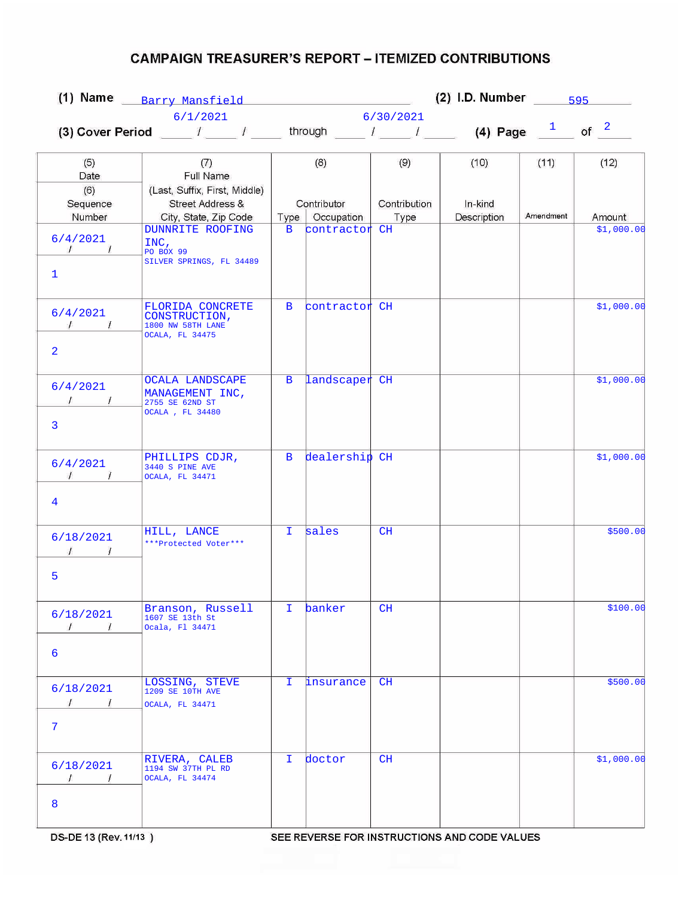## **CAMPAIGN TREASURER'S REPORT - ITEMIZED CONTRIBUTIONS**

| (1) Name Barry Mansfield (1)                        |                                                                                                                      |              | (2) I.D. Number $\frac{595}{2}$ |                      |                        |           |            |  |  |
|-----------------------------------------------------|----------------------------------------------------------------------------------------------------------------------|--------------|---------------------------------|----------------------|------------------------|-----------|------------|--|--|
| 6/1/2021                                            |                                                                                                                      |              | 6/30/2021                       |                      |                        |           |            |  |  |
|                                                     | (3) Cover Period ____ / ____ / ____ through ____ / ____ / ____ (4) Page $\frac{1}{\sqrt{2}}$ of $\frac{2}{\sqrt{2}}$ |              |                                 |                      |                        |           |            |  |  |
| (5)<br>Date                                         | (7)<br>Full Name                                                                                                     |              | (8)                             | (9)                  | (10)                   | (11)      | (12)       |  |  |
| (6)<br>Sequence<br>Number                           | (Last, Suffix, First, Middle)<br>Street Address &<br>City, State, Zip Code                                           | Type         | Contributor<br>Occupation       | Contribution<br>Type | In-kind<br>Description | Amendment | Amount     |  |  |
| 6/4/2021<br>$\frac{1}{\sqrt{2}}$<br>$\mathbf{1}$    | <b>DUNNRITE ROOFING</b><br>INC,<br>PO BOX 99<br>SILVER SPRINGS, FL 34489                                             | $\mathbf{B}$ | contractor <sup>CH</sup>        |                      |                        |           | \$1,000.00 |  |  |
| 6/4/2021<br>$\sqrt{1}$<br>2                         | FLORIDA CONCRETE<br>CONSTRUCTION,<br>1800 NW 58TH LANE<br>OCALA, FL 34475                                            | B            | contractor CH                   |                      |                        |           | \$1,000.00 |  |  |
| 6/4/2021<br>3                                       | <b>OCALA LANDSCAPE</b><br>MANAGEMENT INC,<br>2755 SE 62ND ST<br>OCALA, FL 34480                                      | $\mathbf{B}$ | landscaper CH                   |                      |                        |           | \$1,000.00 |  |  |
| 6/4/2021<br>$\prime$<br>$\mathcal{L}$<br>4          | PHILLIPS CDJR,<br>3440 S PINE AVE<br>OCALA, FL 34471                                                                 | B            | dealership CH                   |                      |                        |           | \$1,000.00 |  |  |
| 6/18/2021<br>5                                      | HILL, LANCE<br>***Protected Voter***                                                                                 | I.           | sales                           | CH                   |                        |           | \$500.00   |  |  |
| 6/18/2021<br>$\prime$<br>$\prime$<br>6              | Branson, Russell<br>1607 SE 13th St<br>Ocala, Fl 34471                                                               | I.           | banker                          | CH                   |                        |           | \$100.00   |  |  |
| 6/18/2021<br>$\frac{1}{\sqrt{2}}$<br>$\overline{7}$ | LOSSING, STEVE<br>1209 SE 10TH AVE<br>OCALA, FL 34471                                                                | T.           | insurance                       | CH                   |                        |           | \$500.00   |  |  |
| 6/18/2021<br>$\sqrt{ }$<br>$\sqrt{1}$<br>8          | RIVERA, CALEB<br>1194 SW 37TH PL RD<br>OCALA, FL 34474                                                               | I.           | doctor                          | CH                   |                        |           | \$1,000.00 |  |  |

SEE REVERSE FOR INSTRUCTIONS AND CODE VALUES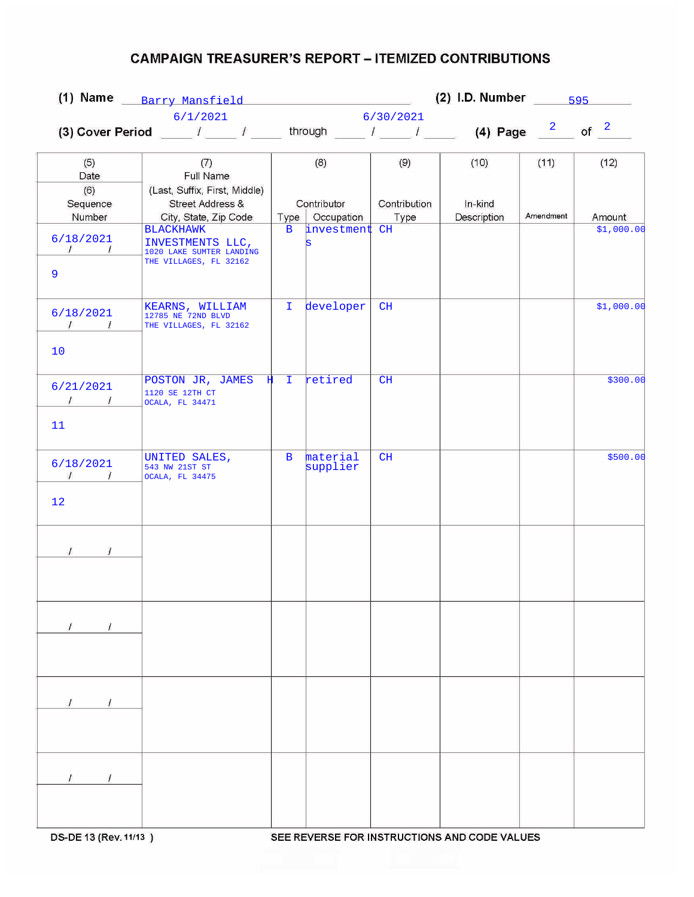## **CAMPAIGN TREASURER'S REPORT - ITEMIZED CONTRIBUTIONS**

|                                             |                                                                                                                   | (2) I.D. Number $\frac{595}{2}$<br>(1) Name Barry Mansfield (1) |                          |              |             |           |                      |
|---------------------------------------------|-------------------------------------------------------------------------------------------------------------------|-----------------------------------------------------------------|--------------------------|--------------|-------------|-----------|----------------------|
|                                             | 6/1/2021                                                                                                          | 6/30/2021                                                       |                          |              |             |           |                      |
|                                             | (3) Cover Period ____ $I$ ____ $I$ _____ through ____ $I$ _____ $I$ _____ (4) Page $\frac{2}{I}$ of $\frac{2}{I}$ |                                                                 |                          |              |             |           |                      |
|                                             |                                                                                                                   |                                                                 |                          |              |             |           |                      |
| (5)                                         | (7)                                                                                                               |                                                                 | (8)                      | (9)          | (10)        | (11)      | (12)                 |
| Date                                        | Full Name                                                                                                         |                                                                 |                          |              |             |           |                      |
| (6)                                         | (Last, Suffix, First, Middle)                                                                                     |                                                                 |                          |              |             |           |                      |
| Sequence                                    | Street Address &                                                                                                  |                                                                 | Contributor              | Contribution | In-kind     |           |                      |
| Number                                      | City, State, Zip Code<br><b>BLACKHAWK</b>                                                                         | Type<br>$\mathbf{B}$                                            | Occupation<br>investment | Type<br>CH   | Description | Amendment | Amount<br>\$1,000.00 |
| 6/18/2021                                   | INVESTMENTS LLC,                                                                                                  |                                                                 | ls                       |              |             |           |                      |
| $\mathcal{L}$<br>$\overline{L}$             | 1020 LAKE SUMTER LANDING                                                                                          |                                                                 |                          |              |             |           |                      |
| 9                                           | THE VILLAGES, FL 32162                                                                                            |                                                                 |                          |              |             |           |                      |
|                                             |                                                                                                                   |                                                                 |                          |              |             |           |                      |
|                                             | KEARNS, WILLIAM                                                                                                   | I.                                                              | developer                | CH           |             |           | \$1,000.00           |
| 6/18/2021                                   | 12785 NE 72ND BLVD                                                                                                |                                                                 |                          |              |             |           |                      |
| $\sqrt{1}$                                  | THE VILLAGES, FL 32162                                                                                            |                                                                 |                          |              |             |           |                      |
| 10                                          |                                                                                                                   |                                                                 |                          |              |             |           |                      |
|                                             |                                                                                                                   |                                                                 |                          |              |             |           |                      |
|                                             | POSTON JR, JAMES $\sharp$ I                                                                                       |                                                                 | retired                  | CH           |             |           | \$300.00             |
| 6/21/2021                                   | 1120 SE 12TH CT                                                                                                   |                                                                 |                          |              |             |           |                      |
| $\sqrt{1}$                                  | OCALA, FL 34471                                                                                                   |                                                                 |                          |              |             |           |                      |
| 11                                          |                                                                                                                   |                                                                 |                          |              |             |           |                      |
|                                             |                                                                                                                   |                                                                 |                          |              |             |           |                      |
|                                             | UNITED SALES,                                                                                                     | $\mathbf{B}$                                                    | material                 | CH           |             |           | \$500.00             |
| 6/18/2021<br>$\mathcal{L}$<br>$\frac{1}{2}$ | 543 NW 21ST ST<br>OCALA, FL 34475                                                                                 |                                                                 | supplier                 |              |             |           |                      |
|                                             |                                                                                                                   |                                                                 |                          |              |             |           |                      |
| 12                                          |                                                                                                                   |                                                                 |                          |              |             |           |                      |
|                                             |                                                                                                                   |                                                                 |                          |              |             |           |                      |
|                                             |                                                                                                                   |                                                                 |                          |              |             |           |                      |
|                                             |                                                                                                                   |                                                                 |                          |              |             |           |                      |
|                                             |                                                                                                                   |                                                                 |                          |              |             |           |                      |
|                                             |                                                                                                                   |                                                                 |                          |              |             |           |                      |
|                                             |                                                                                                                   |                                                                 |                          |              |             |           |                      |
|                                             |                                                                                                                   |                                                                 |                          |              |             |           |                      |
| $\overline{I}$                              |                                                                                                                   |                                                                 |                          |              |             |           |                      |
|                                             |                                                                                                                   |                                                                 |                          |              |             |           |                      |
|                                             |                                                                                                                   |                                                                 |                          |              |             |           |                      |
|                                             |                                                                                                                   |                                                                 |                          |              |             |           |                      |
|                                             |                                                                                                                   |                                                                 |                          |              |             |           |                      |
|                                             |                                                                                                                   |                                                                 |                          |              |             |           |                      |
|                                             |                                                                                                                   |                                                                 |                          |              |             |           |                      |
|                                             |                                                                                                                   |                                                                 |                          |              |             |           |                      |
|                                             |                                                                                                                   |                                                                 |                          |              |             |           |                      |
| $\prime$                                    |                                                                                                                   |                                                                 |                          |              |             |           |                      |
|                                             |                                                                                                                   |                                                                 |                          |              |             |           |                      |
|                                             |                                                                                                                   |                                                                 |                          |              |             |           |                      |
|                                             |                                                                                                                   |                                                                 |                          |              |             |           |                      |

SEE REVERSE FOR INSTRUCTIONS AND CODE VALUES